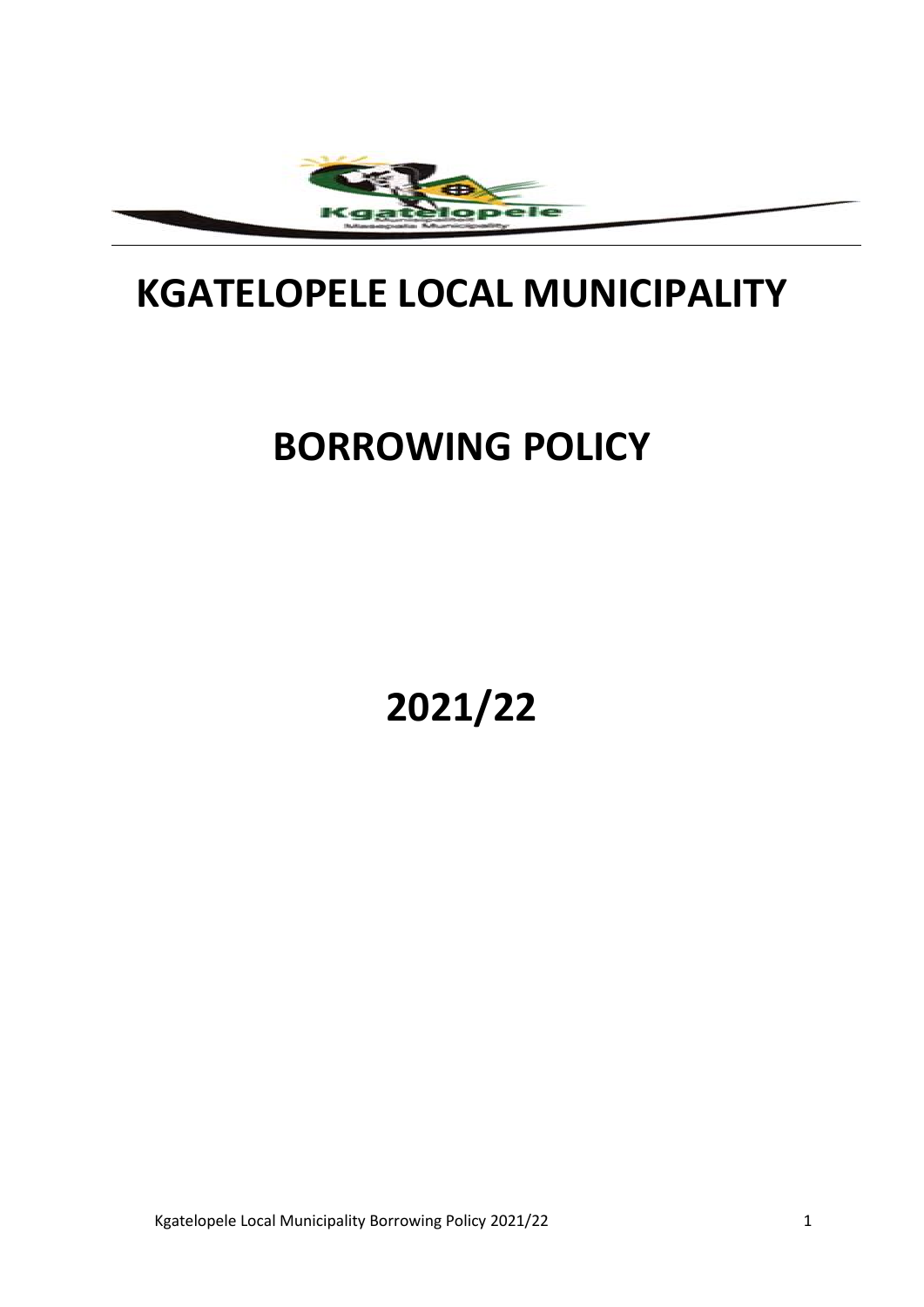

# **KGATELOPELE LOCAL MUNICIPALITY**

# **BORROWING POLICY**

**2021/22**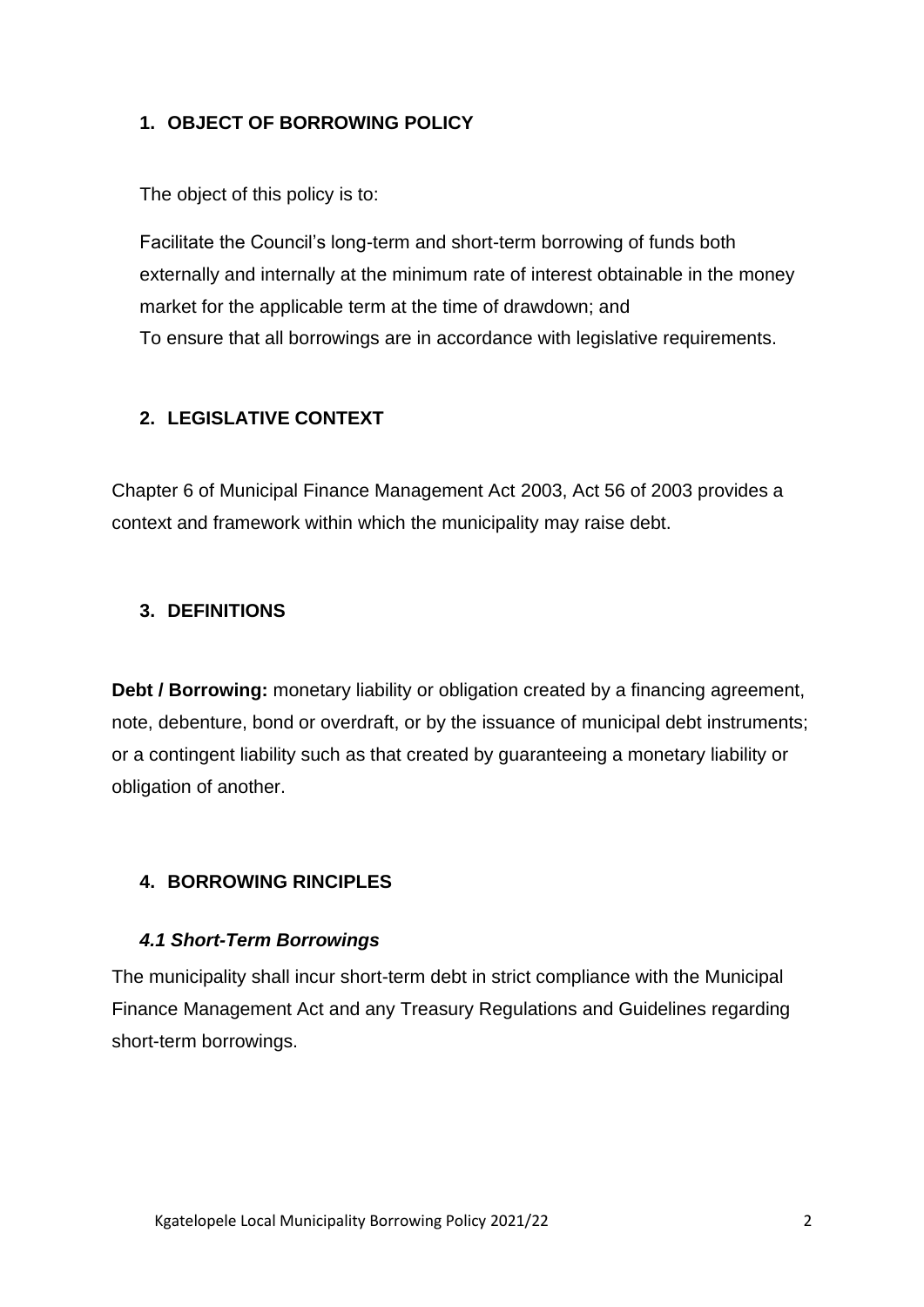# **1. OBJECT OF BORROWING POLICY**

The object of this policy is to:

Facilitate the Council's long-term and short-term borrowing of funds both externally and internally at the minimum rate of interest obtainable in the money market for the applicable term at the time of drawdown; and To ensure that all borrowings are in accordance with legislative requirements.

# **2. LEGISLATIVE CONTEXT**

Chapter 6 of Municipal Finance Management Act 2003, Act 56 of 2003 provides a context and framework within which the municipality may raise debt.

# **3. DEFINITIONS**

**Debt / Borrowing:** monetary liability or obligation created by a financing agreement, note, debenture, bond or overdraft, or by the issuance of municipal debt instruments; or a contingent liability such as that created by guaranteeing a monetary liability or obligation of another.

# **4. BORROWING RINCIPLES**

### *4.1 Short-Term Borrowings*

The municipality shall incur short-term debt in strict compliance with the Municipal Finance Management Act and any Treasury Regulations and Guidelines regarding short-term borrowings.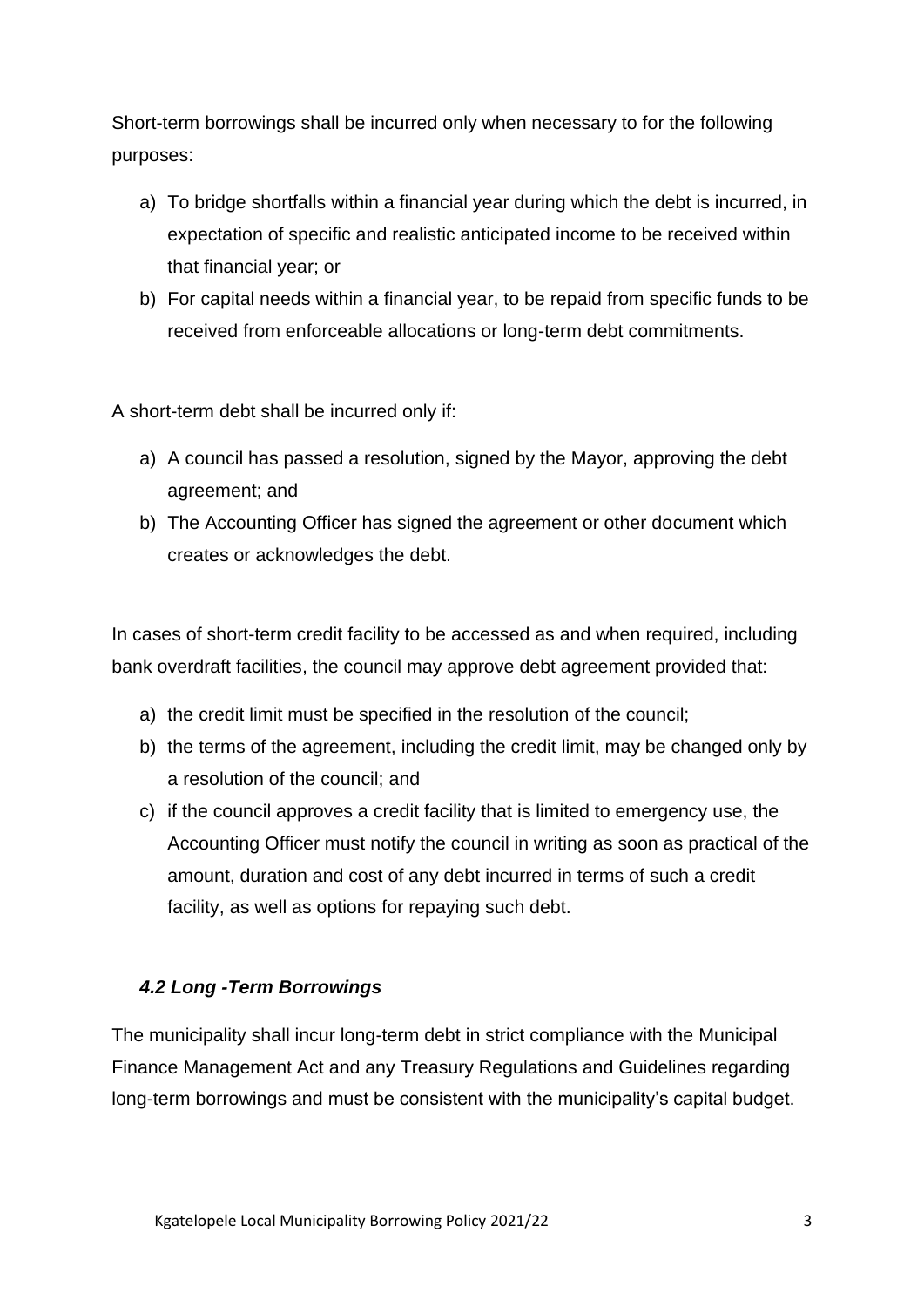Short-term borrowings shall be incurred only when necessary to for the following purposes:

- a) To bridge shortfalls within a financial year during which the debt is incurred, in expectation of specific and realistic anticipated income to be received within that financial year; or
- b) For capital needs within a financial year, to be repaid from specific funds to be received from enforceable allocations or long-term debt commitments.

A short-term debt shall be incurred only if:

- a) A council has passed a resolution, signed by the Mayor, approving the debt agreement; and
- b) The Accounting Officer has signed the agreement or other document which creates or acknowledges the debt.

In cases of short-term credit facility to be accessed as and when required, including bank overdraft facilities, the council may approve debt agreement provided that:

- a) the credit limit must be specified in the resolution of the council;
- b) the terms of the agreement, including the credit limit, may be changed only by a resolution of the council; and
- c) if the council approves a credit facility that is limited to emergency use, the Accounting Officer must notify the council in writing as soon as practical of the amount, duration and cost of any debt incurred in terms of such a credit facility, as well as options for repaying such debt.

# *4.2 Long -Term Borrowings*

The municipality shall incur long-term debt in strict compliance with the Municipal Finance Management Act and any Treasury Regulations and Guidelines regarding long-term borrowings and must be consistent with the municipality's capital budget.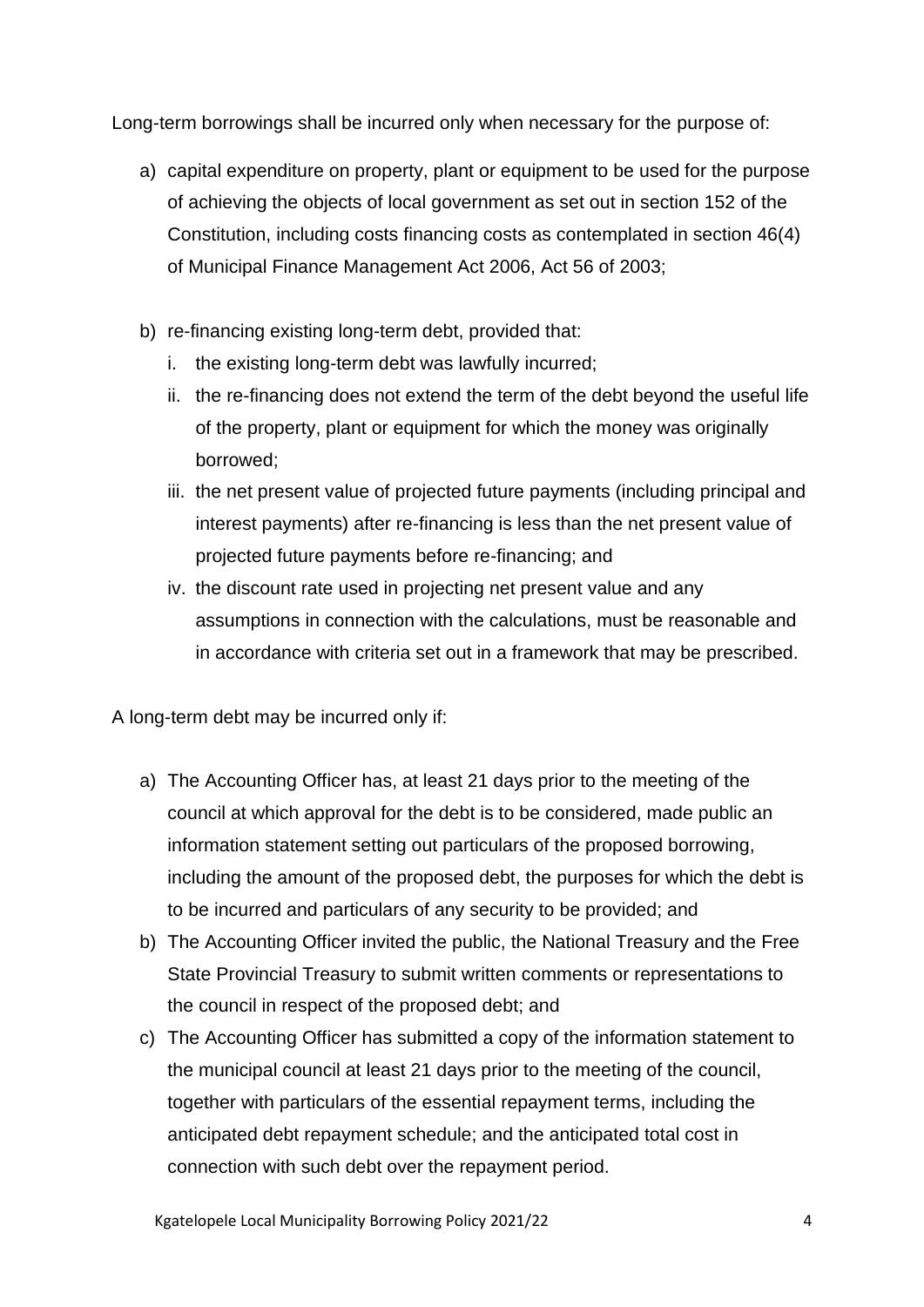Long-term borrowings shall be incurred only when necessary for the purpose of:

- a) capital expenditure on property, plant or equipment to be used for the purpose of achieving the objects of local government as set out in section 152 of the Constitution, including costs financing costs as contemplated in section 46(4) of Municipal Finance Management Act 2006, Act 56 of 2003;
- b) re-financing existing long-term debt, provided that:
	- i. the existing long-term debt was lawfully incurred;
	- ii. the re-financing does not extend the term of the debt beyond the useful life of the property, plant or equipment for which the money was originally borrowed;
	- iii. the net present value of projected future payments (including principal and interest payments) after re-financing is less than the net present value of projected future payments before re-financing; and
	- iv. the discount rate used in projecting net present value and any assumptions in connection with the calculations, must be reasonable and in accordance with criteria set out in a framework that may be prescribed.

A long-term debt may be incurred only if:

- a) The Accounting Officer has, at least 21 days prior to the meeting of the council at which approval for the debt is to be considered, made public an information statement setting out particulars of the proposed borrowing, including the amount of the proposed debt, the purposes for which the debt is to be incurred and particulars of any security to be provided; and
- b) The Accounting Officer invited the public, the National Treasury and the Free State Provincial Treasury to submit written comments or representations to the council in respect of the proposed debt; and
- c) The Accounting Officer has submitted a copy of the information statement to the municipal council at least 21 days prior to the meeting of the council, together with particulars of the essential repayment terms, including the anticipated debt repayment schedule; and the anticipated total cost in connection with such debt over the repayment period.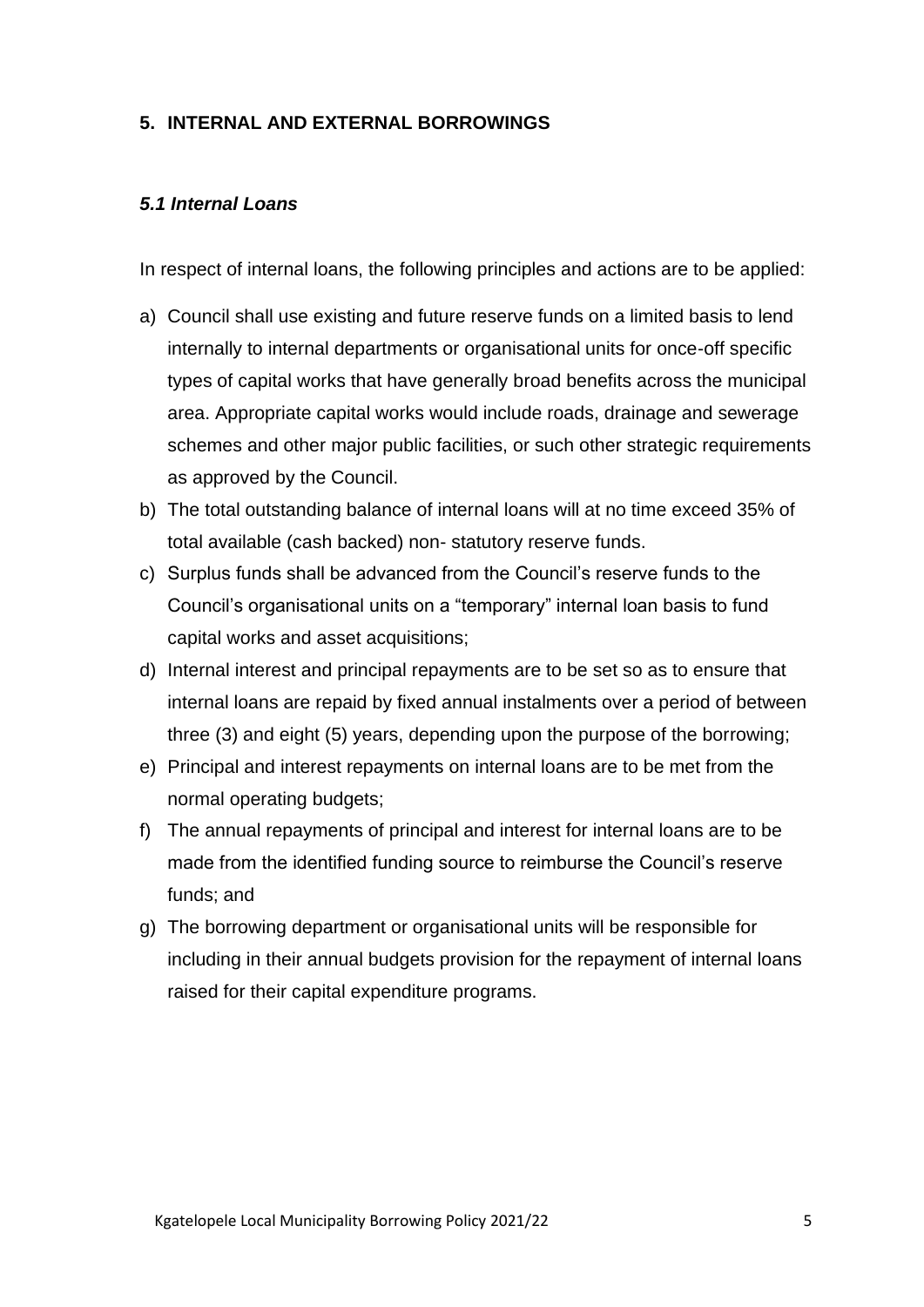# **5. INTERNAL AND EXTERNAL BORROWINGS**

#### *5.1 Internal Loans*

In respect of internal loans, the following principles and actions are to be applied:

- a) Council shall use existing and future reserve funds on a limited basis to lend internally to internal departments or organisational units for once-off specific types of capital works that have generally broad benefits across the municipal area. Appropriate capital works would include roads, drainage and sewerage schemes and other major public facilities, or such other strategic requirements as approved by the Council.
- b) The total outstanding balance of internal loans will at no time exceed 35% of total available (cash backed) non- statutory reserve funds.
- c) Surplus funds shall be advanced from the Council's reserve funds to the Council's organisational units on a "temporary" internal loan basis to fund capital works and asset acquisitions;
- d) Internal interest and principal repayments are to be set so as to ensure that internal loans are repaid by fixed annual instalments over a period of between three (3) and eight (5) years, depending upon the purpose of the borrowing;
- e) Principal and interest repayments on internal loans are to be met from the normal operating budgets;
- f) The annual repayments of principal and interest for internal loans are to be made from the identified funding source to reimburse the Council's reserve funds; and
- g) The borrowing department or organisational units will be responsible for including in their annual budgets provision for the repayment of internal loans raised for their capital expenditure programs.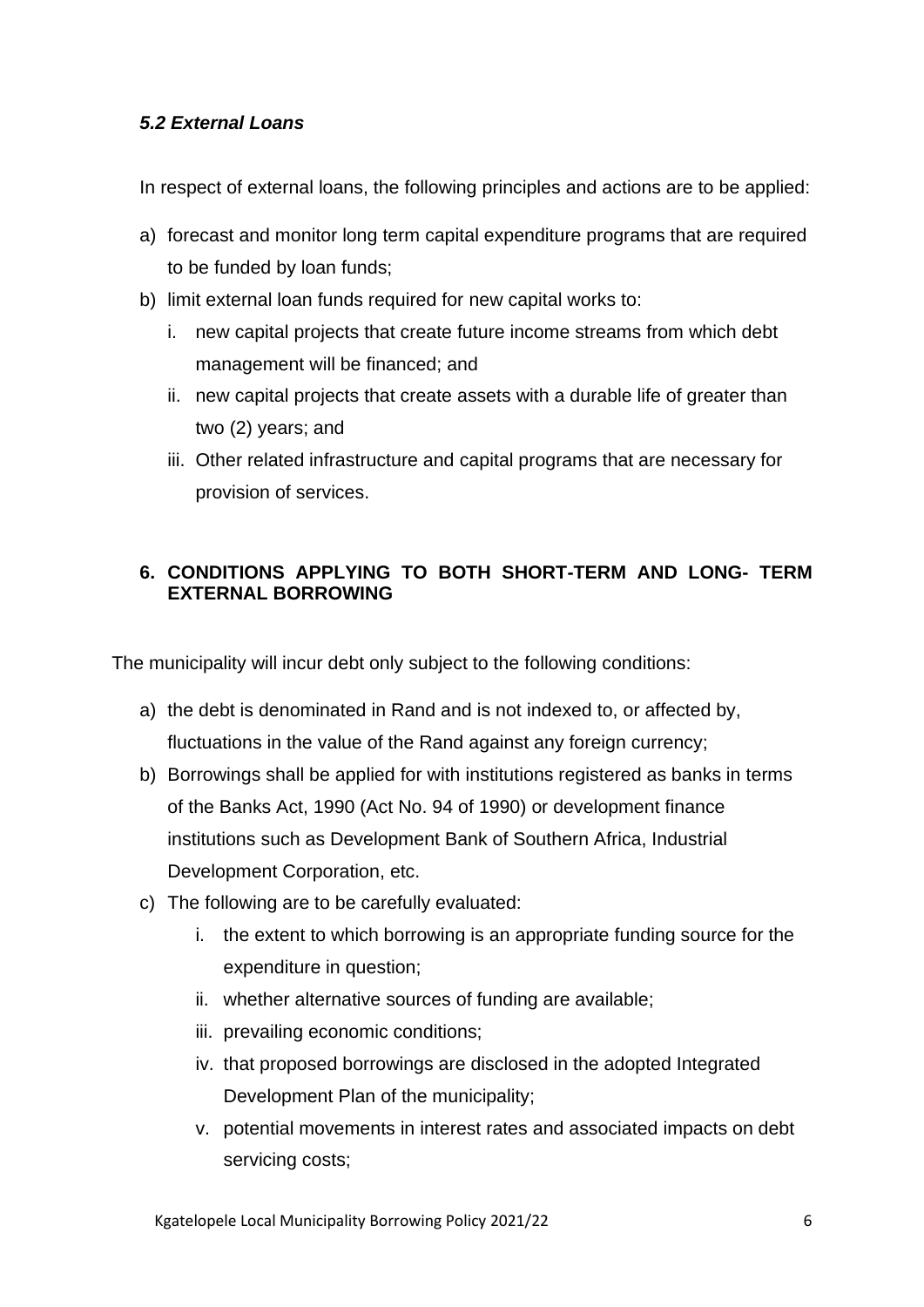# *5.2 External Loans*

In respect of external loans, the following principles and actions are to be applied:

- a) forecast and monitor long term capital expenditure programs that are required to be funded by loan funds;
- b) limit external loan funds required for new capital works to:
	- i. new capital projects that create future income streams from which debt management will be financed; and
	- ii. new capital projects that create assets with a durable life of greater than two (2) years; and
	- iii. Other related infrastructure and capital programs that are necessary for provision of services.

# **6. CONDITIONS APPLYING TO BOTH SHORT-TERM AND LONG- TERM EXTERNAL BORROWING**

The municipality will incur debt only subject to the following conditions:

- a) the debt is denominated in Rand and is not indexed to, or affected by, fluctuations in the value of the Rand against any foreign currency;
- b) Borrowings shall be applied for with institutions registered as banks in terms of the Banks Act, 1990 (Act No. 94 of 1990) or development finance institutions such as Development Bank of Southern Africa, Industrial Development Corporation, etc.
- c) The following are to be carefully evaluated:
	- i. the extent to which borrowing is an appropriate funding source for the expenditure in question;
	- ii. whether alternative sources of funding are available;
	- iii. prevailing economic conditions;
	- iv. that proposed borrowings are disclosed in the adopted Integrated Development Plan of the municipality;
	- v. potential movements in interest rates and associated impacts on debt servicing costs;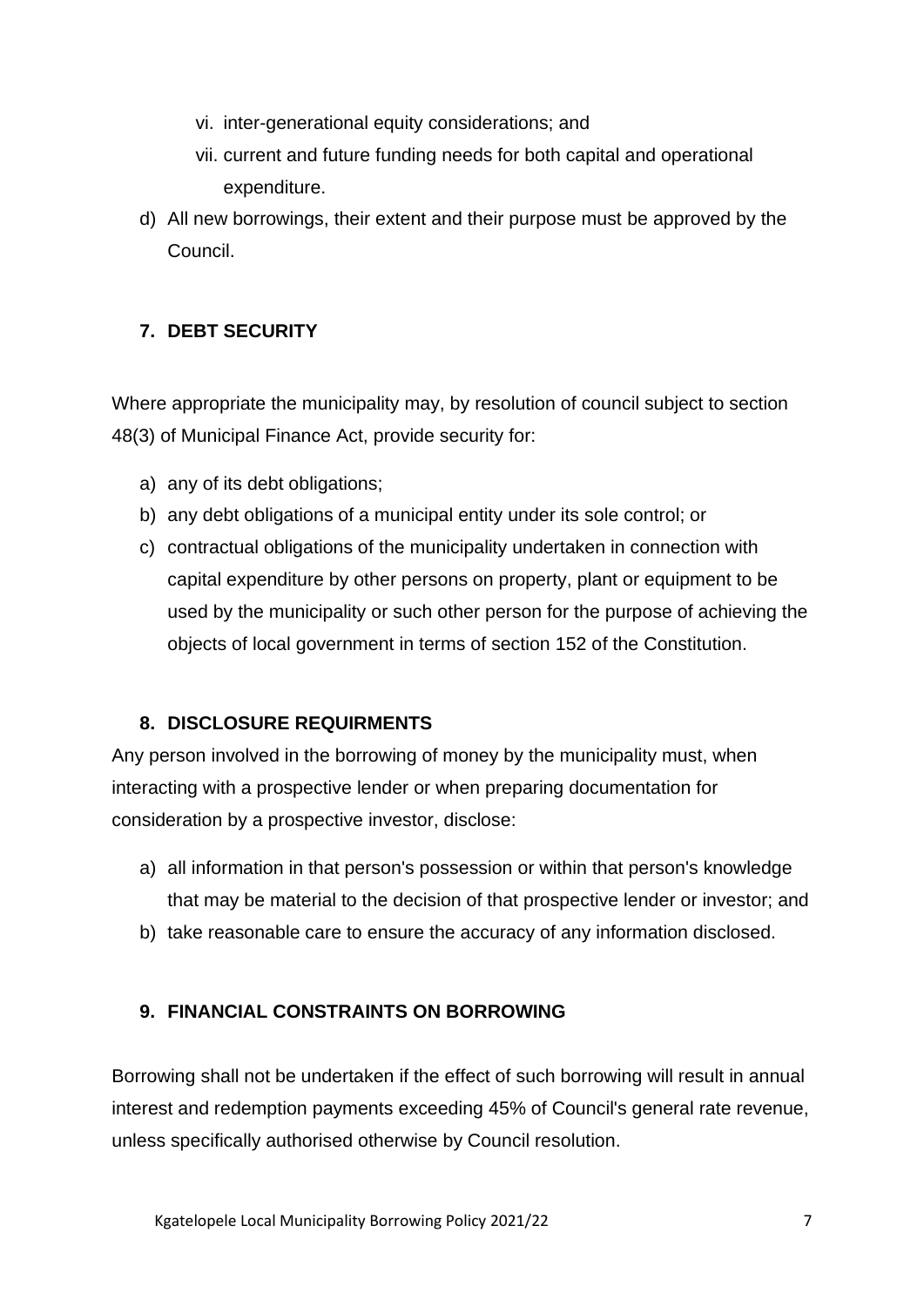- vi. inter-generational equity considerations; and
- vii. current and future funding needs for both capital and operational expenditure.
- d) All new borrowings, their extent and their purpose must be approved by the Council.

# **7. DEBT SECURITY**

Where appropriate the municipality may, by resolution of council subject to section 48(3) of Municipal Finance Act, provide security for:

- a) any of its debt obligations;
- b) any debt obligations of a municipal entity under its sole control; or
- c) contractual obligations of the municipality undertaken in connection with capital expenditure by other persons on property, plant or equipment to be used by the municipality or such other person for the purpose of achieving the objects of local government in terms of section 152 of the Constitution.

### **8. DISCLOSURE REQUIRMENTS**

Any person involved in the borrowing of money by the municipality must, when interacting with a prospective lender or when preparing documentation for consideration by a prospective investor, disclose:

- a) all information in that person's possession or within that person's knowledge that may be material to the decision of that prospective lender or investor; and
- b) take reasonable care to ensure the accuracy of any information disclosed.

### **9. FINANCIAL CONSTRAINTS ON BORROWING**

Borrowing shall not be undertaken if the effect of such borrowing will result in annual interest and redemption payments exceeding 45% of Council's general rate revenue, unless specifically authorised otherwise by Council resolution.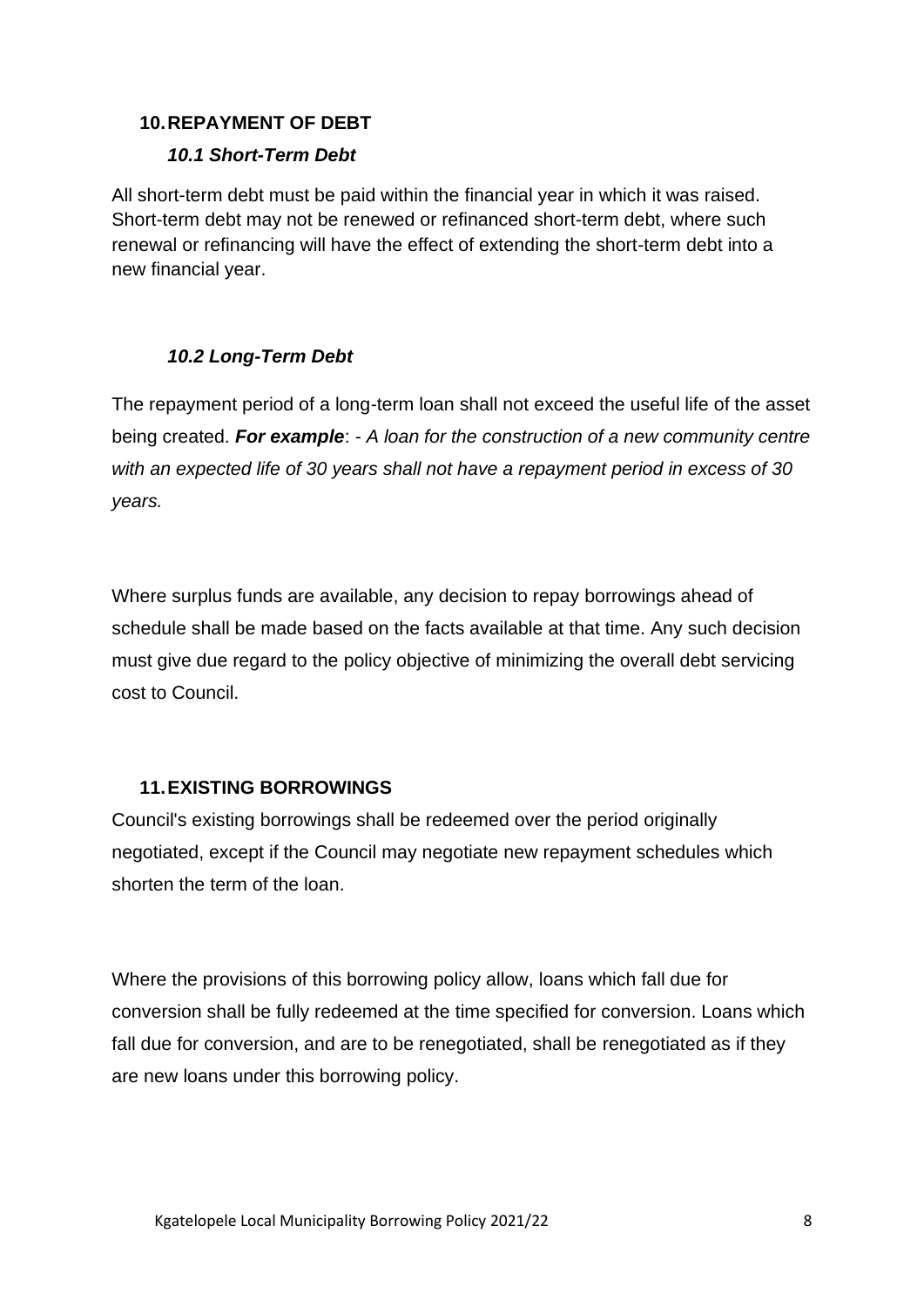#### **10.REPAYMENT OF DEBT**

#### *10.1 Short-Term Debt*

All short-term debt must be paid within the financial year in which it was raised. Short-term debt may not be renewed or refinanced short-term debt, where such renewal or refinancing will have the effect of extending the short-term debt into a new financial year.

### *10.2 Long-Term Debt*

The repayment period of a long-term loan shall not exceed the useful life of the asset being created. *For example*: - *A loan for the construction of a new community centre with an expected life of 30 years shall not have a repayment period in excess of 30 years.*

Where surplus funds are available, any decision to repay borrowings ahead of schedule shall be made based on the facts available at that time. Any such decision must give due regard to the policy objective of minimizing the overall debt servicing cost to Council.

### **11.EXISTING BORROWINGS**

Council's existing borrowings shall be redeemed over the period originally negotiated, except if the Council may negotiate new repayment schedules which shorten the term of the loan.

Where the provisions of this borrowing policy allow, loans which fall due for conversion shall be fully redeemed at the time specified for conversion. Loans which fall due for conversion, and are to be renegotiated, shall be renegotiated as if they are new loans under this borrowing policy.